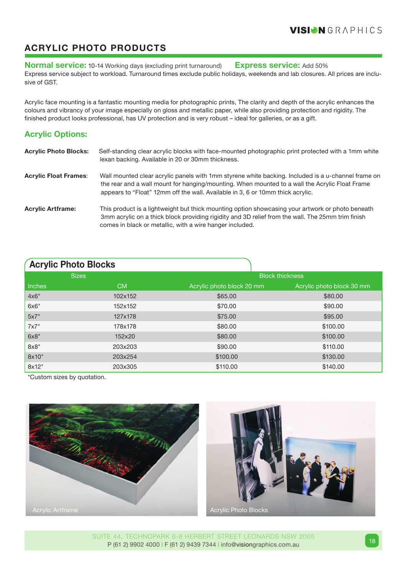## **Acrylic photo products**

**Normal service:** 10-14 Working days (excluding print turnaround) **Express service:** Add 50% Express service subject to workload. Turnaround times exclude public holidays, weekends and lab closures. All prices are inclusive of GST.

Acrylic face mounting is a fantastic mounting media for photographic prints, The clarity and depth of the acrylic enhances the colours and vibrancy of your image especially on gloss and metallic paper, while also providing protection and rigidity. The finished product looks professional, has UV protection and is very robust – ideal for galleries, or as a gift.

## **Acrylic Options:**

| <b>Acrylic Photo Blocks:</b> | Self-standing clear acrylic blocks with face-mounted photographic print protected with a 1mm white<br>lexan backing. Available in 20 or 30mm thickness.                                                                                                                                |
|------------------------------|----------------------------------------------------------------------------------------------------------------------------------------------------------------------------------------------------------------------------------------------------------------------------------------|
| <b>Acrylic Float Frames:</b> | Wall mounted clear acrylic panels with 1mm styrene white backing. Included is a u-channel frame on<br>the rear and a wall mount for hanging/mounting. When mounted to a wall the Acrylic Float Frame<br>appears to "Float" 12mm off the wall. Available in 3, 6 or 10mm thick acrylic. |
| <b>Acrylic Artframe:</b>     | This product is a lightweight but thick mounting option showcasing your artwork or photo beneath<br>3mm acrylic on a thick block providing rigidity and 3D relief from the wall. The 25mm trim finish<br>comes in black or metallic, with a wire hanger included.                      |

| <b>Acrylic Photo Blocks</b> |              |                           |                           |  |  |  |  |  |  |
|-----------------------------|--------------|---------------------------|---------------------------|--|--|--|--|--|--|
|                             | <b>Sizes</b> | <b>Block thickness</b>    |                           |  |  |  |  |  |  |
| <b>Inches</b>               | <b>CM</b>    | Acrylic photo block 20 mm | Acrylic photo block 30 mm |  |  |  |  |  |  |
| 4x6"                        | 102x152      | \$65.00                   | \$80.00                   |  |  |  |  |  |  |
| 6x6"                        | 152x152      | \$70.00                   | \$90.00                   |  |  |  |  |  |  |
| 5x7"                        | 127x178      | \$75.00                   | \$95.00                   |  |  |  |  |  |  |
| 7x7"                        | 178x178      | \$80.00                   | \$100.00                  |  |  |  |  |  |  |
| 6x8"                        | 152x20       | \$80.00                   | \$100.00                  |  |  |  |  |  |  |
| $8\times8"$                 | 203x203      | \$90.00                   | \$110.00                  |  |  |  |  |  |  |
| 8x10"                       | 203x254      | \$100.00                  | \$130.00                  |  |  |  |  |  |  |
| 8x12"                       | 203x305      | \$110.00                  | \$140.00                  |  |  |  |  |  |  |

\*Custom sizes by quotation.





Suite 44, Technopark 6-8 Herbert Street Leonards NSW 2065 P (61 2) 9902 4000 I F (61 2) 9439 7344 I info@visiongraphics.com.au